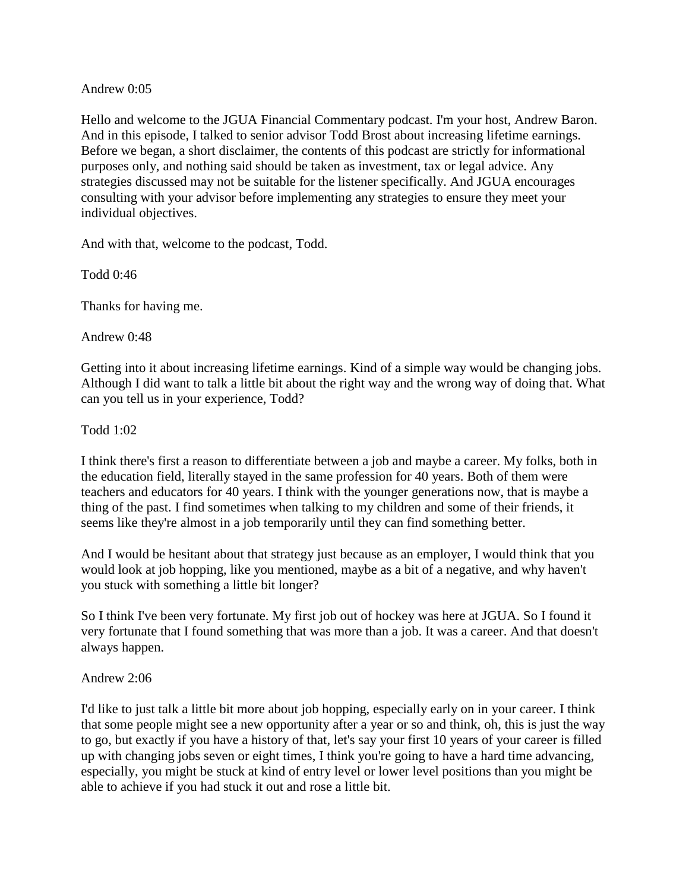## Andrew 0:05

Hello and welcome to the JGUA Financial Commentary podcast. I'm your host, Andrew Baron. And in this episode, I talked to senior advisor Todd Brost about increasing lifetime earnings. Before we began, a short disclaimer, the contents of this podcast are strictly for informational purposes only, and nothing said should be taken as investment, tax or legal advice. Any strategies discussed may not be suitable for the listener specifically. And JGUA encourages consulting with your advisor before implementing any strategies to ensure they meet your individual objectives.

And with that, welcome to the podcast, Todd.

Todd 0:46

Thanks for having me.

Andrew 0:48

Getting into it about increasing lifetime earnings. Kind of a simple way would be changing jobs. Although I did want to talk a little bit about the right way and the wrong way of doing that. What can you tell us in your experience, Todd?

Todd 1:02

I think there's first a reason to differentiate between a job and maybe a career. My folks, both in the education field, literally stayed in the same profession for 40 years. Both of them were teachers and educators for 40 years. I think with the younger generations now, that is maybe a thing of the past. I find sometimes when talking to my children and some of their friends, it seems like they're almost in a job temporarily until they can find something better.

And I would be hesitant about that strategy just because as an employer, I would think that you would look at job hopping, like you mentioned, maybe as a bit of a negative, and why haven't you stuck with something a little bit longer?

So I think I've been very fortunate. My first job out of hockey was here at JGUA. So I found it very fortunate that I found something that was more than a job. It was a career. And that doesn't always happen.

### Andrew 2:06

I'd like to just talk a little bit more about job hopping, especially early on in your career. I think that some people might see a new opportunity after a year or so and think, oh, this is just the way to go, but exactly if you have a history of that, let's say your first 10 years of your career is filled up with changing jobs seven or eight times, I think you're going to have a hard time advancing, especially, you might be stuck at kind of entry level or lower level positions than you might be able to achieve if you had stuck it out and rose a little bit.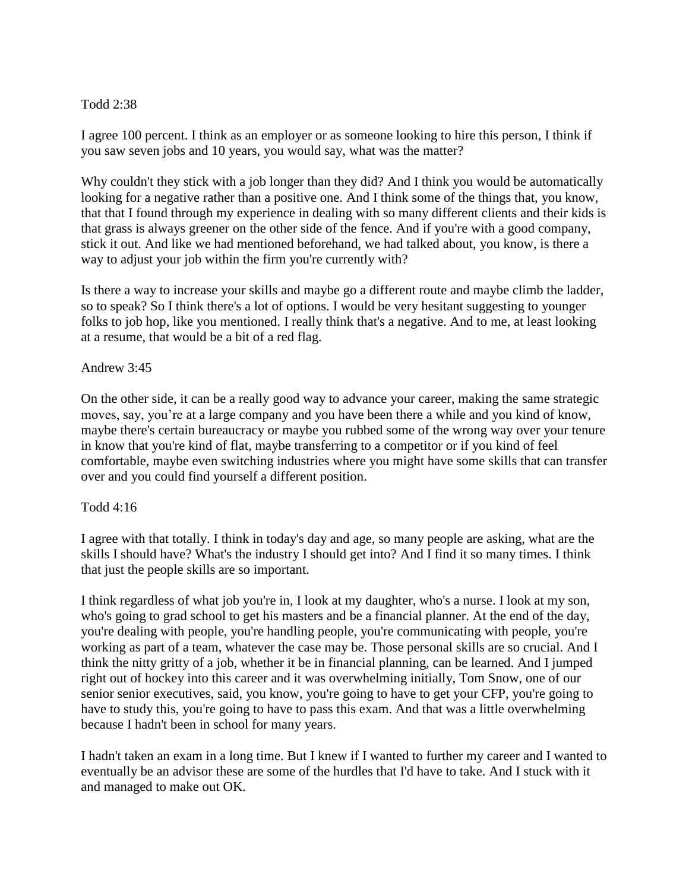# Todd 2:38

I agree 100 percent. I think as an employer or as someone looking to hire this person, I think if you saw seven jobs and 10 years, you would say, what was the matter?

Why couldn't they stick with a job longer than they did? And I think you would be automatically looking for a negative rather than a positive one. And I think some of the things that, you know, that that I found through my experience in dealing with so many different clients and their kids is that grass is always greener on the other side of the fence. And if you're with a good company, stick it out. And like we had mentioned beforehand, we had talked about, you know, is there a way to adjust your job within the firm you're currently with?

Is there a way to increase your skills and maybe go a different route and maybe climb the ladder, so to speak? So I think there's a lot of options. I would be very hesitant suggesting to younger folks to job hop, like you mentioned. I really think that's a negative. And to me, at least looking at a resume, that would be a bit of a red flag.

### Andrew 3:45

On the other side, it can be a really good way to advance your career, making the same strategic moves, say, you're at a large company and you have been there a while and you kind of know, maybe there's certain bureaucracy or maybe you rubbed some of the wrong way over your tenure in know that you're kind of flat, maybe transferring to a competitor or if you kind of feel comfortable, maybe even switching industries where you might have some skills that can transfer over and you could find yourself a different position.

### Todd 4:16

I agree with that totally. I think in today's day and age, so many people are asking, what are the skills I should have? What's the industry I should get into? And I find it so many times. I think that just the people skills are so important.

I think regardless of what job you're in, I look at my daughter, who's a nurse. I look at my son, who's going to grad school to get his masters and be a financial planner. At the end of the day, you're dealing with people, you're handling people, you're communicating with people, you're working as part of a team, whatever the case may be. Those personal skills are so crucial. And I think the nitty gritty of a job, whether it be in financial planning, can be learned. And I jumped right out of hockey into this career and it was overwhelming initially, Tom Snow, one of our senior senior executives, said, you know, you're going to have to get your CFP, you're going to have to study this, you're going to have to pass this exam. And that was a little overwhelming because I hadn't been in school for many years.

I hadn't taken an exam in a long time. But I knew if I wanted to further my career and I wanted to eventually be an advisor these are some of the hurdles that I'd have to take. And I stuck with it and managed to make out OK.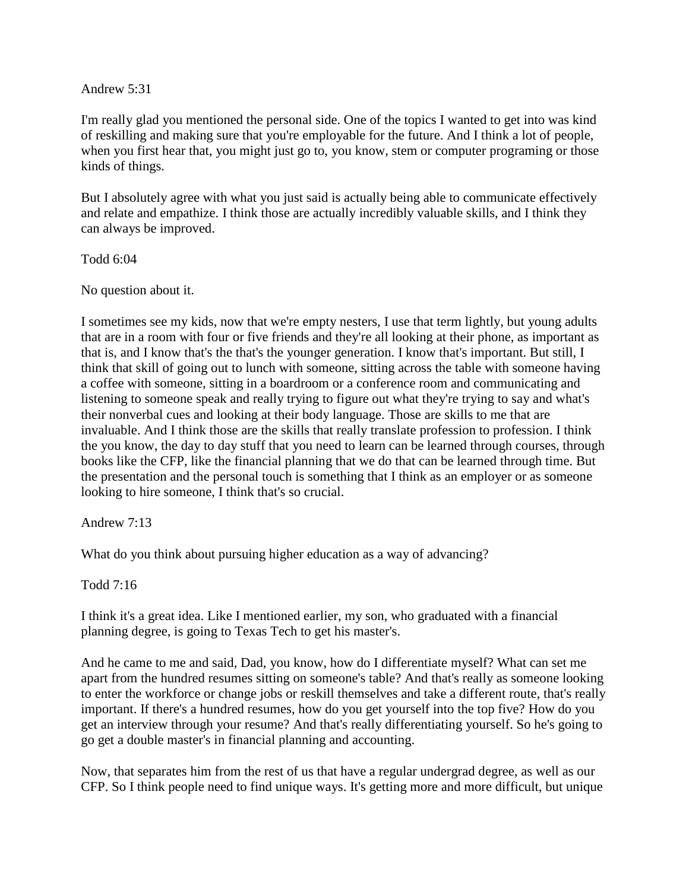#### Andrew 5:31

I'm really glad you mentioned the personal side. One of the topics I wanted to get into was kind of reskilling and making sure that you're employable for the future. And I think a lot of people, when you first hear that, you might just go to, you know, stem or computer programing or those kinds of things.

But I absolutely agree with what you just said is actually being able to communicate effectively and relate and empathize. I think those are actually incredibly valuable skills, and I think they can always be improved.

Todd 6:04

No question about it.

I sometimes see my kids, now that we're empty nesters, I use that term lightly, but young adults that are in a room with four or five friends and they're all looking at their phone, as important as that is, and I know that's the that's the younger generation. I know that's important. But still, I think that skill of going out to lunch with someone, sitting across the table with someone having a coffee with someone, sitting in a boardroom or a conference room and communicating and listening to someone speak and really trying to figure out what they're trying to say and what's their nonverbal cues and looking at their body language. Those are skills to me that are invaluable. And I think those are the skills that really translate profession to profession. I think the you know, the day to day stuff that you need to learn can be learned through courses, through books like the CFP, like the financial planning that we do that can be learned through time. But the presentation and the personal touch is something that I think as an employer or as someone looking to hire someone, I think that's so crucial.

Andrew 7:13

What do you think about pursuing higher education as a way of advancing?

Todd 7:16

I think it's a great idea. Like I mentioned earlier, my son, who graduated with a financial planning degree, is going to Texas Tech to get his master's.

And he came to me and said, Dad, you know, how do I differentiate myself? What can set me apart from the hundred resumes sitting on someone's table? And that's really as someone looking to enter the workforce or change jobs or reskill themselves and take a different route, that's really important. If there's a hundred resumes, how do you get yourself into the top five? How do you get an interview through your resume? And that's really differentiating yourself. So he's going to go get a double master's in financial planning and accounting.

Now, that separates him from the rest of us that have a regular undergrad degree, as well as our CFP. So I think people need to find unique ways. It's getting more and more difficult, but unique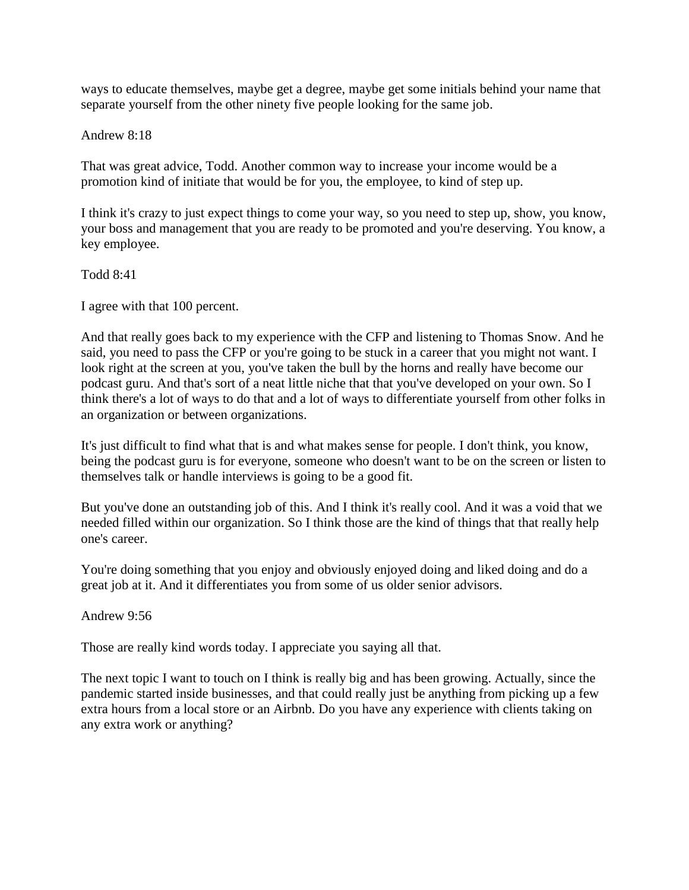ways to educate themselves, maybe get a degree, maybe get some initials behind your name that separate yourself from the other ninety five people looking for the same job.

Andrew 8:18

That was great advice, Todd. Another common way to increase your income would be a promotion kind of initiate that would be for you, the employee, to kind of step up.

I think it's crazy to just expect things to come your way, so you need to step up, show, you know, your boss and management that you are ready to be promoted and you're deserving. You know, a key employee.

Todd 8:41

I agree with that 100 percent.

And that really goes back to my experience with the CFP and listening to Thomas Snow. And he said, you need to pass the CFP or you're going to be stuck in a career that you might not want. I look right at the screen at you, you've taken the bull by the horns and really have become our podcast guru. And that's sort of a neat little niche that that you've developed on your own. So I think there's a lot of ways to do that and a lot of ways to differentiate yourself from other folks in an organization or between organizations.

It's just difficult to find what that is and what makes sense for people. I don't think, you know, being the podcast guru is for everyone, someone who doesn't want to be on the screen or listen to themselves talk or handle interviews is going to be a good fit.

But you've done an outstanding job of this. And I think it's really cool. And it was a void that we needed filled within our organization. So I think those are the kind of things that that really help one's career.

You're doing something that you enjoy and obviously enjoyed doing and liked doing and do a great job at it. And it differentiates you from some of us older senior advisors.

Andrew 9:56

Those are really kind words today. I appreciate you saying all that.

The next topic I want to touch on I think is really big and has been growing. Actually, since the pandemic started inside businesses, and that could really just be anything from picking up a few extra hours from a local store or an Airbnb. Do you have any experience with clients taking on any extra work or anything?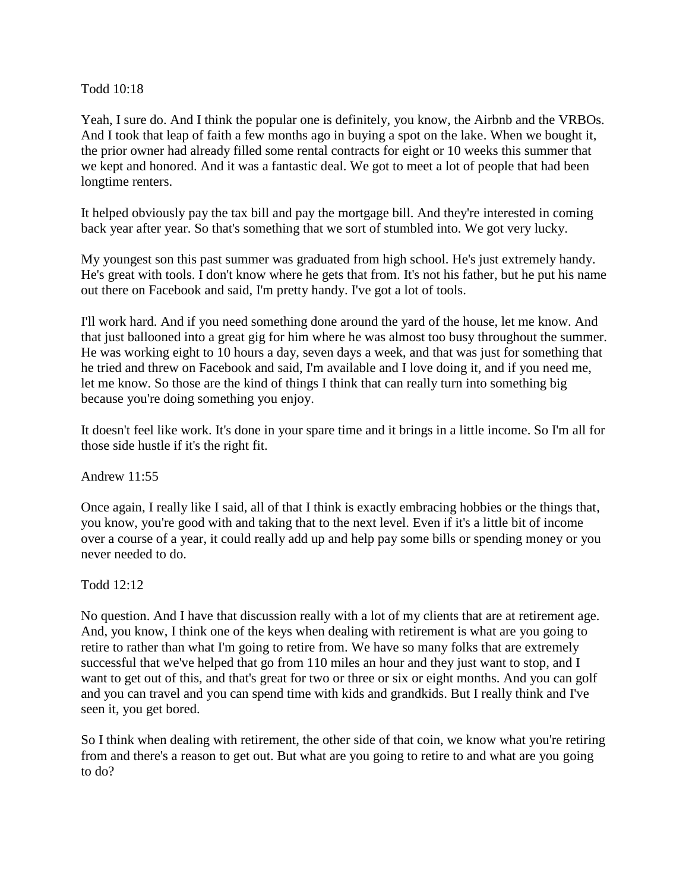### Todd 10:18

Yeah, I sure do. And I think the popular one is definitely, you know, the Airbnb and the VRBOs. And I took that leap of faith a few months ago in buying a spot on the lake. When we bought it, the prior owner had already filled some rental contracts for eight or 10 weeks this summer that we kept and honored. And it was a fantastic deal. We got to meet a lot of people that had been longtime renters.

It helped obviously pay the tax bill and pay the mortgage bill. And they're interested in coming back year after year. So that's something that we sort of stumbled into. We got very lucky.

My youngest son this past summer was graduated from high school. He's just extremely handy. He's great with tools. I don't know where he gets that from. It's not his father, but he put his name out there on Facebook and said, I'm pretty handy. I've got a lot of tools.

I'll work hard. And if you need something done around the yard of the house, let me know. And that just ballooned into a great gig for him where he was almost too busy throughout the summer. He was working eight to 10 hours a day, seven days a week, and that was just for something that he tried and threw on Facebook and said, I'm available and I love doing it, and if you need me, let me know. So those are the kind of things I think that can really turn into something big because you're doing something you enjoy.

It doesn't feel like work. It's done in your spare time and it brings in a little income. So I'm all for those side hustle if it's the right fit.

Andrew 11:55

Once again, I really like I said, all of that I think is exactly embracing hobbies or the things that, you know, you're good with and taking that to the next level. Even if it's a little bit of income over a course of a year, it could really add up and help pay some bills or spending money or you never needed to do.

Todd 12:12

No question. And I have that discussion really with a lot of my clients that are at retirement age. And, you know, I think one of the keys when dealing with retirement is what are you going to retire to rather than what I'm going to retire from. We have so many folks that are extremely successful that we've helped that go from 110 miles an hour and they just want to stop, and I want to get out of this, and that's great for two or three or six or eight months. And you can golf and you can travel and you can spend time with kids and grandkids. But I really think and I've seen it, you get bored.

So I think when dealing with retirement, the other side of that coin, we know what you're retiring from and there's a reason to get out. But what are you going to retire to and what are you going to do?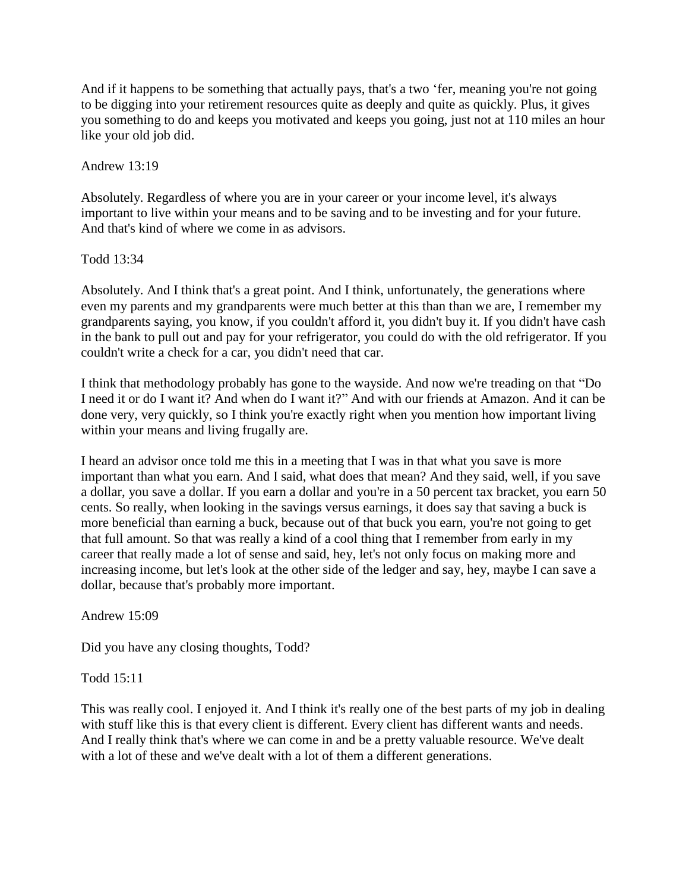And if it happens to be something that actually pays, that's a two 'fer, meaning you're not going to be digging into your retirement resources quite as deeply and quite as quickly. Plus, it gives you something to do and keeps you motivated and keeps you going, just not at 110 miles an hour like your old job did.

Andrew 13:19

Absolutely. Regardless of where you are in your career or your income level, it's always important to live within your means and to be saving and to be investing and for your future. And that's kind of where we come in as advisors.

Todd 13:34

Absolutely. And I think that's a great point. And I think, unfortunately, the generations where even my parents and my grandparents were much better at this than than we are, I remember my grandparents saying, you know, if you couldn't afford it, you didn't buy it. If you didn't have cash in the bank to pull out and pay for your refrigerator, you could do with the old refrigerator. If you couldn't write a check for a car, you didn't need that car.

I think that methodology probably has gone to the wayside. And now we're treading on that "Do I need it or do I want it? And when do I want it?" And with our friends at Amazon. And it can be done very, very quickly, so I think you're exactly right when you mention how important living within your means and living frugally are.

I heard an advisor once told me this in a meeting that I was in that what you save is more important than what you earn. And I said, what does that mean? And they said, well, if you save a dollar, you save a dollar. If you earn a dollar and you're in a 50 percent tax bracket, you earn 50 cents. So really, when looking in the savings versus earnings, it does say that saving a buck is more beneficial than earning a buck, because out of that buck you earn, you're not going to get that full amount. So that was really a kind of a cool thing that I remember from early in my career that really made a lot of sense and said, hey, let's not only focus on making more and increasing income, but let's look at the other side of the ledger and say, hey, maybe I can save a dollar, because that's probably more important.

Andrew 15:09

Did you have any closing thoughts, Todd?

Todd 15:11

This was really cool. I enjoyed it. And I think it's really one of the best parts of my job in dealing with stuff like this is that every client is different. Every client has different wants and needs. And I really think that's where we can come in and be a pretty valuable resource. We've dealt with a lot of these and we've dealt with a lot of them a different generations.